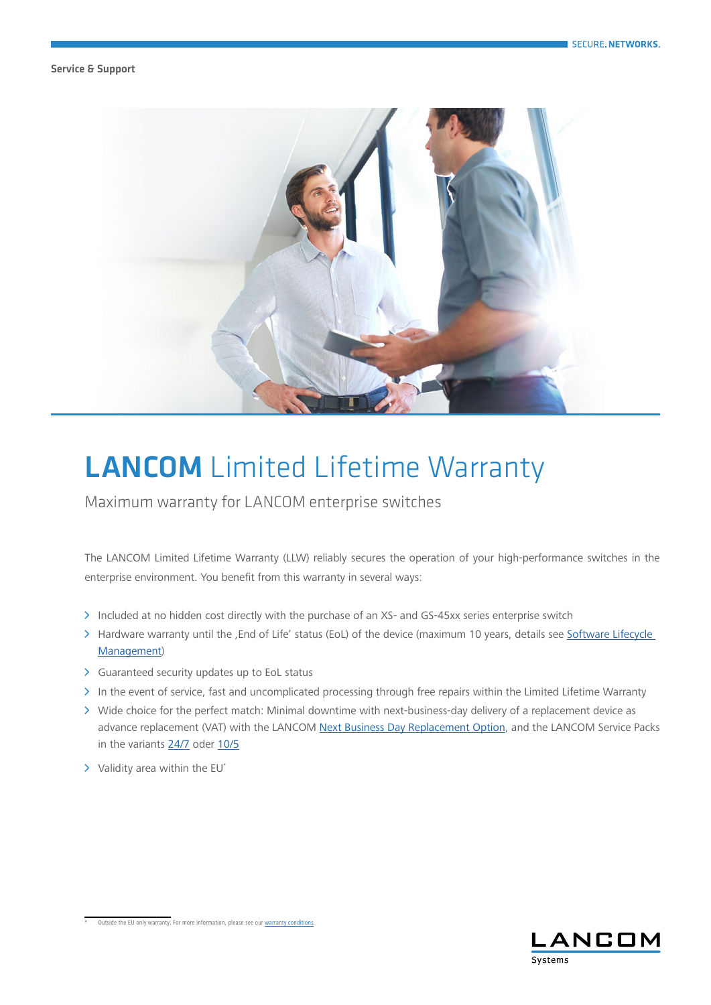## Service & Support



## **LANCOM** Limited Lifetime Warranty

Maximum warranty for LANCOM enterprise switches

The LANCOM Limited Lifetime Warranty (LLW) reliably secures the operation of your high-performance switches in the enterprise environment. You benefit from this warranty in several ways:

- > Included at no hidden cost directly with the purchase of an XS- and GS-45xx series enterprise switch
- > Hardware warranty until the , End of Life' status (EoL) of the device (maximum 10 years, details see Software Lifecycle [Management](https://www.lancom-systems.com/products/firmware/lifecycle-management/))
- $\triangleright$  Guaranteed security updates up to EoL status
- A In the event of service, fast and uncomplicated processing through free repairs within the Limited Lifetime Warranty
- A Wide choice for the perfect match: Minimal downtime with next-business-day delivery of a replacement device as advance replacement (VAT) with the LANCOM [Next Business Day Replacement Option](https://www.lancom-systems.com/products/services-and-support/next-business-day-replacement-option/), and the LANCOM Service Packs in the variants [24/7](https://www.lancom-systems.com/products/services-and-support/service-pack-247/) oder [10/5](https://www.lancom-systems.com/products/services-and-support/service-pack-105/)
- $\triangleright$  Validity area within the EU\*



Outside the EU only warranty. For more information, please see our [warranty conditions.](https://www.lancom-systems.com/legal-notice/general-warranty-conditions/)